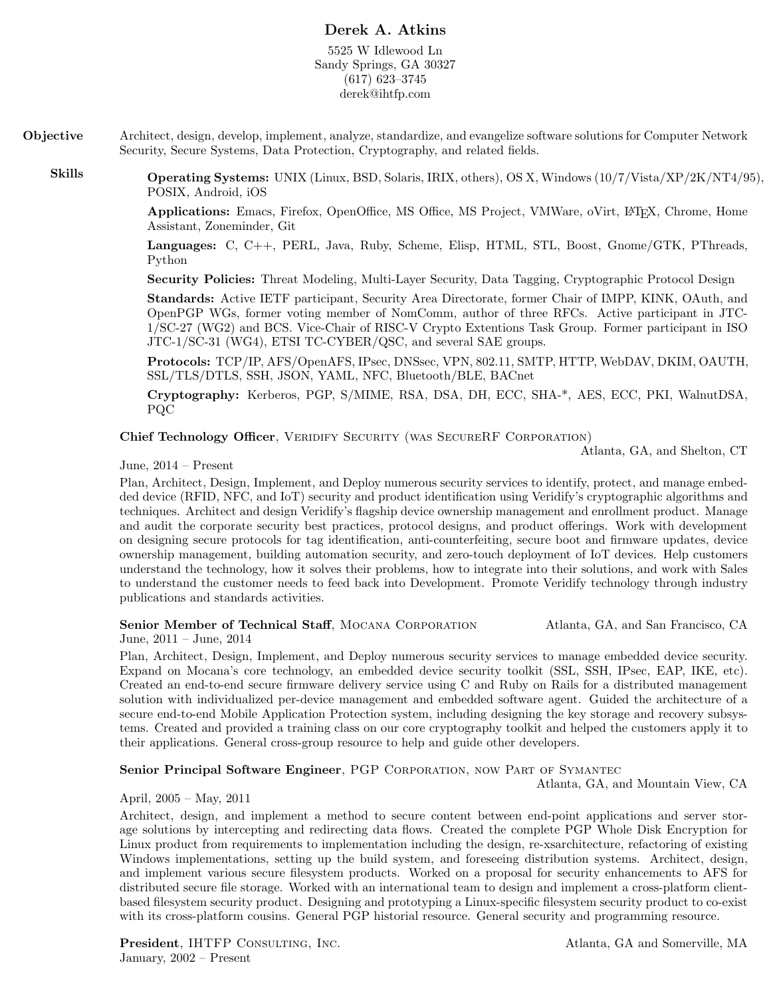# Derek A. Atkins

5525 W Idlewood Ln Sandy Springs, GA 30327 (617) 623–3745 derek@ihtfp.com

Objective Architect, design, develop, implement, analyze, standardize, and evangelize software solutions for Computer Network Security, Secure Systems, Data Protection, Cryptography, and related fields.

Skills Operating Systems: UNIX (Linux, BSD, Solaris, IRIX, others), OS X, Windows (10/7/Vista/XP/2K/NT4/95), POSIX, Android, iOS

> Applications: Emacs, Firefox, OpenOffice, MS Office, MS Project, VMWare, oVirt, LATEX, Chrome, Home Assistant, Zoneminder, Git

> Languages: C, C++, PERL, Java, Ruby, Scheme, Elisp, HTML, STL, Boost, Gnome/GTK, PThreads, Python

Security Policies: Threat Modeling, Multi-Layer Security, Data Tagging, Cryptographic Protocol Design

Standards: Active IETF participant, Security Area Directorate, former Chair of IMPP, KINK, OAuth, and OpenPGP WGs, former voting member of NomComm, author of three RFCs. Active participant in JTC-1/SC-27 (WG2) and BCS. Vice-Chair of RISC-V Crypto Extentions Task Group. Former participant in ISO JTC-1/SC-31 (WG4), ETSI TC-CYBER/QSC, and several SAE groups.

Protocols: TCP/IP, AFS/OpenAFS, IPsec, DNSsec, VPN, 802.11, SMTP, HTTP, WebDAV, DKIM, OAUTH, SSL/TLS/DTLS, SSH, JSON, YAML, NFC, Bluetooth/BLE, BACnet

Cryptography: Kerberos, PGP, S/MIME, RSA, DSA, DH, ECC, SHA-\*, AES, ECC, PKI, WalnutDSA, PQC

Chief Technology Officer, VERIDIFY SECURITY (WAS SECURERF CORPORATION)

Atlanta, GA, and Shelton, CT

### June, 2014 – Present

Plan, Architect, Design, Implement, and Deploy numerous security services to identify, protect, and manage embedded device (RFID, NFC, and IoT) security and product identification using Veridify's cryptographic algorithms and techniques. Architect and design Veridify's flagship device ownership management and enrollment product. Manage and audit the corporate security best practices, protocol designs, and product offerings. Work with development on designing secure protocols for tag identification, anti-counterfeiting, secure boot and firmware updates, device ownership management, building automation security, and zero-touch deployment of IoT devices. Help customers understand the technology, how it solves their problems, how to integrate into their solutions, and work with Sales to understand the customer needs to feed back into Development. Promote Veridify technology through industry publications and standards activities.

#### Senior Member of Technical Staff, MOCANA CORPORATION Atlanta, GA, and San Francisco, CA June, 2011 – June, 2014

Plan, Architect, Design, Implement, and Deploy numerous security services to manage embedded device security. Expand on Mocana's core technology, an embedded device security toolkit (SSL, SSH, IPsec, EAP, IKE, etc). Created an end-to-end secure firmware delivery service using C and Ruby on Rails for a distributed management solution with individualized per-device management and embedded software agent. Guided the architecture of a secure end-to-end Mobile Application Protection system, including designing the key storage and recovery subsystems. Created and provided a training class on our core cryptography toolkit and helped the customers apply it to their applications. General cross-group resource to help and guide other developers.

### Senior Principal Software Engineer, PGP CORPORATION, NOW PART OF SYMANTEC

Atlanta, GA, and Mountain View, CA

### April, 2005 – May, 2011

Architect, design, and implement a method to secure content between end-point applications and server storage solutions by intercepting and redirecting data flows. Created the complete PGP Whole Disk Encryption for Linux product from requirements to implementation including the design, re-xsarchitecture, refactoring of existing Windows implementations, setting up the build system, and foreseeing distribution systems. Architect, design, and implement various secure filesystem products. Worked on a proposal for security enhancements to AFS for distributed secure file storage. Worked with an international team to design and implement a cross-platform clientbased filesystem security product. Designing and prototyping a Linux-specific filesystem security product to co-exist with its cross-platform cousins. General PGP historial resource. General security and programming resource.

**President**, IHTFP CONSULTING, INC. Atlanta, GA and Somerville, MA January, 2002 – Present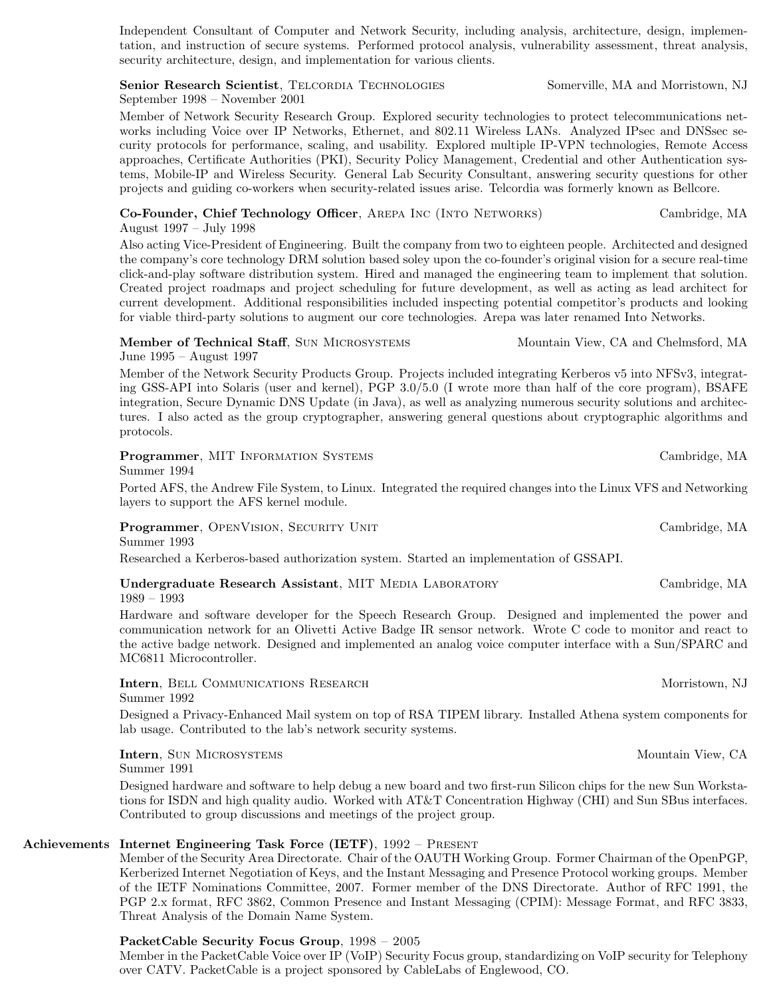tation, and instruction of secure systems. Performed protocol analysis, vulnerability assessment, threat analysis, security architecture, design, and implementation for various clients. Senior Research Scientist, TELCORDIA TECHNOLOGIES Somerville, MA and Morristown, NJ

Independent Consultant of Computer and Network Security, including analysis, architecture, design, implemen-

September 1998 – November 2001

Member of Network Security Research Group. Explored security technologies to protect telecommunications networks including Voice over IP Networks, Ethernet, and 802.11 Wireless LANs. Analyzed IPsec and DNSsec security protocols for performance, scaling, and usability. Explored multiple IP-VPN technologies, Remote Access approaches, Certificate Authorities (PKI), Security Policy Management, Credential and other Authentication systems, Mobile-IP and Wireless Security. General Lab Security Consultant, answering security questions for other projects and guiding co-workers when security-related issues arise. Telcordia was formerly known as Bellcore.

### Co-Founder, Chief Technology Officer, Arepa Inc (Into Networks) Cambridge, MA August 1997 – July 1998

Also acting Vice-President of Engineering. Built the company from two to eighteen people. Architected and designed the company's core technology DRM solution based soley upon the co-founder's original vision for a secure real-time click-and-play software distribution system. Hired and managed the engineering team to implement that solution. Created project roadmaps and project scheduling for future development, as well as acting as lead architect for current development. Additional responsibilities included inspecting potential competitor's products and looking for viable third-party solutions to augment our core technologies. Arepa was later renamed Into Networks.

## Member of Technical Staff, SUN MICROSYSTEMS Mountain View, CA and Chelmsford, MA

June 1995 – August 1997 Member of the Network Security Products Group. Projects included integrating Kerberos v5 into NFSv3, integrating GSS-API into Solaris (user and kernel), PGP 3.0/5.0 (I wrote more than half of the core program), BSAFE integration, Secure Dynamic DNS Update (in Java), as well as analyzing numerous security solutions and architectures. I also acted as the group cryptographer, answering general questions about cryptographic algorithms and protocols.

Programmer, MIT INFORMATION SYSTEMS CAMBRIDGE CAMBRIDGE, MA

Summer 1994

Ported AFS, the Andrew File System, to Linux. Integrated the required changes into the Linux VFS and Networking layers to support the AFS kernel module.

**Programmer**, OPENVISION, SECURITY UNIT CAMBRIDGE, MA Summer 1993

Researched a Kerberos-based authorization system. Started an implementation of GSSAPI.

| Undergraduate Research Assistant, MIT MEDIA LABORATORY | Cambridge, MA |
|--------------------------------------------------------|---------------|
| 1989 – 1993                                            |               |

Hardware and software developer for the Speech Research Group. Designed and implemented the power and communication network for an Olivetti Active Badge IR sensor network. Wrote C code to monitor and react to the active badge network. Designed and implemented an analog voice computer interface with a Sun/SPARC and MC6811 Microcontroller.

**Intern**, BELL COMMUNICATIONS RESEARCH MOTION MOTION MOTION MOTION, NJ Summer 1992

Designed a Privacy-Enhanced Mail system on top of RSA TIPEM library. Installed Athena system components for lab usage. Contributed to the lab's network security systems.

Intern, Sun Microsystems Mountain View, CA

Summer 1991

Designed hardware and software to help debug a new board and two first-run Silicon chips for the new Sun Workstations for ISDN and high quality audio. Worked with AT&T Concentration Highway (CHI) and Sun SBus interfaces. Contributed to group discussions and meetings of the project group.

# Achievements Internet Engineering Task Force (IETF), 1992 – Present

Member of the Security Area Directorate. Chair of the OAUTH Working Group. Former Chairman of the OpenPGP, Kerberized Internet Negotiation of Keys, and the Instant Messaging and Presence Protocol working groups. Member of the IETF Nominations Committee, 2007. Former member of the DNS Directorate. Author of RFC 1991, the PGP 2.x format, RFC 3862, Common Presence and Instant Messaging (CPIM): Message Format, and RFC 3833, Threat Analysis of the Domain Name System.

# PacketCable Security Focus Group, 1998 – 2005

Member in the PacketCable Voice over IP (VoIP) Security Focus group, standardizing on VoIP security for Telephony over CATV. PacketCable is a project sponsored by CableLabs of Englewood, CO.